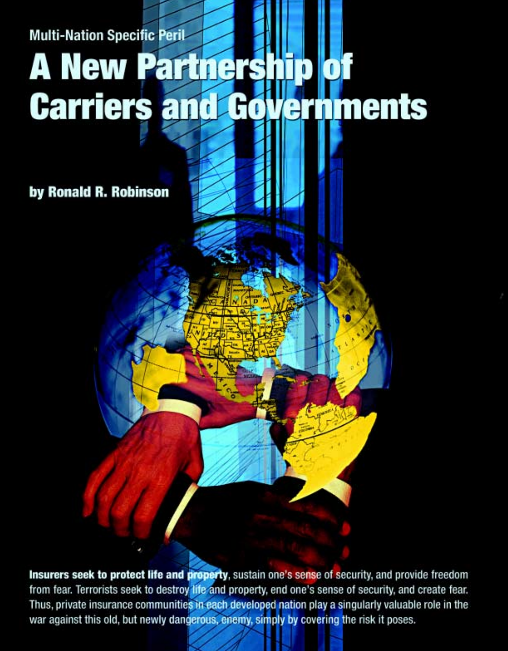# **Multi-Nation Specific Peril Terrorism Coverage A New Partnership of Carriers and Governments**

by Ronald R. Robinson

Insurers seek to protect life and property, sustain one's sense of security, and provide freedom from fear. Terrorists seek to destroy life and property, end one's sense of security, and create fear. Thus, private insurance communities in each developed nation play a singularly valuable role in the war against this old, but newly dangerous, enemy, simply by covering the risk it poses.

**I**

**by Ronald R. Robinson**

**nsurers seek to protect life and property, sustain one's sense of security, and provide freedom from fear. Terrorists seek to destroy life and property,** end one of security, and create fear. Thus, private insurance com-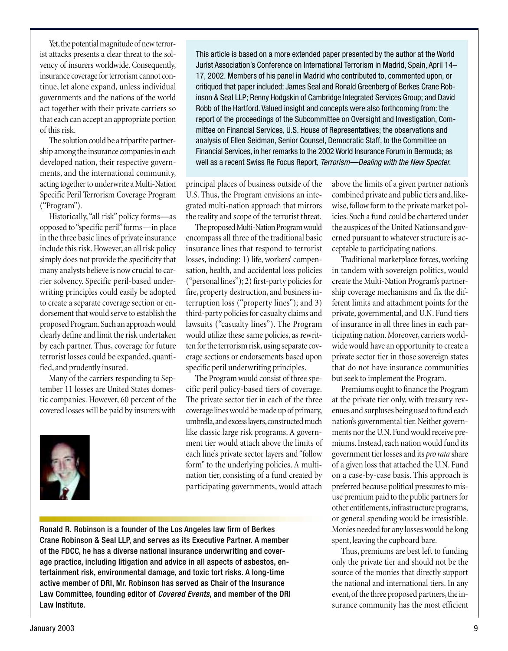Yet, the potential magnitude of new terrorist attacks presents a clear threat to the solvency of insurers worldwide. Consequently, insurance coverage for terrorism cannot continue, let alone expand, unless individual governments and the nations of the world act together with their private carriers so that each can accept an appropriate portion of this risk.

The solution could be a tripartite partnership among the insurance companies in each developed nation, their respective governments, and the international community, acting together to underwrite a Multi-Nation Specific Peril Terrorism Coverage Program ("Program").

Historically, "all risk" policy forms—as opposed to "specific peril" forms—in place in the three basic lines of private insurance include this risk. However, an all risk policy simply does not provide the specificity that many analysts believe is now crucial to carrier solvency. Specific peril-based underwriting principles could easily be adopted to create a separate coverage section or endorsement that would serve to establish the proposed Program. Such an approach would clearly define and limit the risk undertaken by each partner. Thus, coverage for future terrorist losses could be expanded, quantified, and prudently insured.

Many of the carriers responding to September 11 losses are United States domestic companies. However, 60 percent of the covered losses will be paid by insurers with



This article is based on a more extended paper presented by the author at the World Jurist Association's Conference on International Terrorism in Madrid, Spain, April 14– 17, 2002. Members of his panel in Madrid who contributed to, commented upon, or critiqued that paper included: James Seal and Ronald Greenberg of Berkes Crane Robinson & Seal LLP; Renny Hodgskin of Cambridge Integrated Services Group; and David Robb of the Hartford. Valued insight and concepts were also forthcoming from: the report of the proceedings of the Subcommittee on Oversight and Investigation, Committee on Financial Services, U.S. House of Representatives; the observations and analysis of Ellen Seidman, Senior Counsel, Democratic Staff, to the Committee on Financial Services, in her remarks to the 2002 World Insurance Forum in Bermuda; as well as a recent Swiss Re Focus Report, Terrorism—Dealing with the New Specter.

principal places of business outside of the U.S. Thus, the Program envisions an integrated multi-nation approach that mirrors the reality and scope of the terrorist threat.

The proposed Multi-Nation Program would encompass all three of the traditional basic insurance lines that respond to terrorist losses, including: 1) life, workers' compensation, health, and accidental loss policies ("personal lines"); 2) first-party policies for fire, property destruction, and business interruption loss ("property lines"); and 3) third-party policies for casualty claims and lawsuits ("casualty lines"). The Program would utilize these same policies, as rewritten for the terrorism risk, using separate coverage sections or endorsements based upon specific peril underwriting principles.

The Program would consist of three specific peril policy-based tiers of coverage. The private sector tier in each of the three coverage lines would be made up of primary, umbrella, and excess layers, constructed much like classic large risk programs. A government tier would attach above the limits of each line's private sector layers and "follow form" to the underlying policies. A multination tier, consisting of a fund created by participating governments, would attach

Ronald R. Robinson is a founder of the Los Angeles law firm of Berkes Crane Robinson & Seal LLP, and serves as its Executive Partner. A member of the FDCC, he has a diverse national insurance underwriting and coverage practice, including litigation and advice in all aspects of asbestos, entertainment risk, environmental damage, and toxic tort risks. A long-time active member of DRI, Mr. Robinson has served as Chair of the Insurance Law Committee, founding editor of Covered Events, and member of the DRI Law Institute.

above the limits of a given partner nation's combined private and public tiers and, likewise, follow form to the private market policies. Such a fund could be chartered under the auspices of the United Nations and governed pursuant to whatever structure is acceptable to participating nations.

Traditional marketplace forces, working in tandem with sovereign politics, would create the Multi-Nation Program's partnership coverage mechanisms and fix the different limits and attachment points for the private, governmental, and U.N. Fund tiers of insurance in all three lines in each participating nation. Moreover, carriers worldwide would have an opportunity to create a private sector tier in those sovereign states that do not have insurance communities but seek to implement the Program.

Premiums ought to finance the Program at the private tier only, with treasury revenues and surpluses being used to fund each nation's governmental tier. Neither governments nor the U.N. Fund would receive premiums. Instead, each nation would fund its government tier losses and its *pro rata* share of a given loss that attached the U.N. Fund on a case-by-case basis. This approach is preferred because political pressures to misuse premium paid to the public partners for other entitlements, infrastructure programs, or general spending would be irresistible. Monies needed for any losses would be long spent, leaving the cupboard bare.

Thus, premiums are best left to funding only the private tier and should not be the source of the monies that directly support the national and international tiers. In any event, of the three proposed partners, the insurance community has the most efficient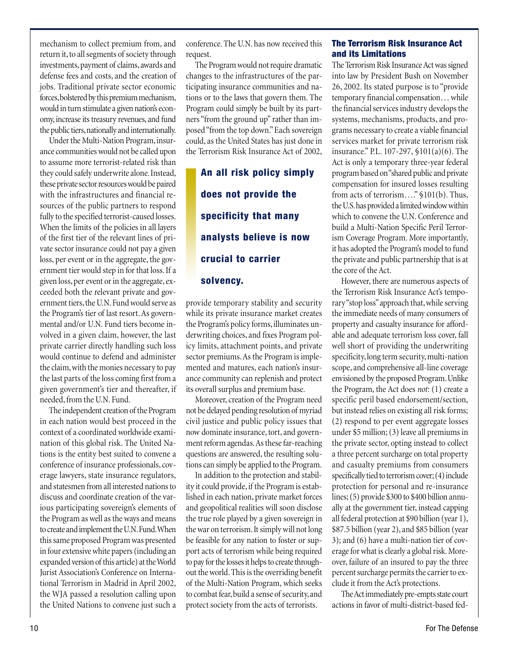mechanism to collect premium from, and return it, to all segments of society through investments, payment of claims, awards and defense fees and costs, and the creation of jobs. Traditional private sector economic forces, bolstered by this premium mechanism, would in turn stimulate a given nation's economy, increase its treasury revenues, and fund the public tiers, nationally and internationally.

Under the Multi-Nation Program, insurance communities would not be called upon to assume more terrorist-related risk than they could safely underwrite alone. Instead, these private sector resources would be paired with the infrastructures and financial resources of the public partners to respond fully to the specified terrorist-caused losses. When the limits of the policies in all layers of the first tier of the relevant lines of private sector insurance could not pay a given loss, per event or in the aggregate, the government tier would step in for that loss. If a given loss, per event or in the aggregate, exceeded both the relevant private and government tiers, the U.N. Fund would serve as the Program's tier of last resort. As governmental and/or U.N. Fund tiers become involved in a given claim, however, the last private carrier directly handling such loss would continue to defend and administer the claim, with the monies necessary to pay the last parts of the loss coming first from a given government's tier and thereafter, if needed, from the U.N. Fund.

The independent creation of the Program in each nation would best proceed in the context of a coordinated worldwide examination of this global risk. The United Nations is the entity best suited to convene a conference of insurance professionals, coverage lawyers, state insurance regulators, and statesmen from all interested nations to discuss and coordinate creation of the various participating sovereign's elements of the Program as well as the ways and means to create and implement the U.N. Fund. When this same proposed Program was presented in four extensive white papers (including an expanded version of this article) at the World Jurist Association's Conference on International Terrorism in Madrid in April 2002, the WJA passed a resolution calling upon the United Nations to convene just such a

conference. The U.N. has now received this request.

The Program would not require dramatic changes to the infrastructures of the participating insurance communities and nations or to the laws that govern them. The Program could simply be built by its partners "from the ground up" rather than imposed "from the top down." Each sovereign could, as the United States has just done in the Terrorism Risk Insurance Act of 2002,

**An all risk policy simply does not provide the specificity that many analysts believe is now crucial to carrier solvency.**

provide temporary stability and security while its private insurance market creates the Program's policy forms, illuminates underwriting choices, and fixes Program policy limits, attachment points, and private sector premiums. As the Program is implemented and matures, each nation's insurance community can replenish and protect its overall surplus and premium base.

Moreover, creation of the Program need not be delayed pending resolution of myriad civil justice and public policy issues that now dominate insurance, tort, and government reform agendas. As these far-reaching questions are answered, the resulting solutions can simply be applied to the Program.

In addition to the protection and stability it could provide, if the Program is established in each nation, private market forces and geopolitical realities will soon disclose the true role played by a given sovereign in the war on terrorism. It simply will not long be feasible for any nation to foster or support acts of terrorism while being required to pay for the losses it helps to create throughout the world. This is the overriding benefit of the Multi-Nation Program, which seeks to combat fear, build a sense of security, and protect society from the acts of terrorists.

#### **The Terrorism Risk Insurance Act and its Limitations**

The Terrorism Risk Insurance Act was signed into law by President Bush on November 26, 2002. Its stated purpose is to "provide temporary financial compensation… while the financial services industry develops the systems, mechanisms, products, and programs necessary to create a viable financial services market for private terrorism risk insurance." P.L. 107-297, §101(a)(6). The Act is only a temporary three-year federal program based on "shared public and private compensation for insured losses resulting from acts of terrorism…." §101(b). Thus, the U.S. has provided a limited window within which to convene the U.N. Conference and build a Multi-Nation Specific Peril Terrorism Coverage Program. More importantly, it has adopted the Program's model to fund the private and public partnership that is at the core of the Act.

However, there are numerous aspects of the Terrorism Risk Insurance Act's temporary "stop loss" approach that, while serving the immediate needs of many consumers of property and casualty insurance for affordable and adequate terrorism loss cover, fall well short of providing the underwriting specificity, long term security, multi-nation scope, and comprehensive all-line coverage envisioned by the proposed Program. Unlike the Program, the Act does *not*: (1) create a specific peril based endorsement/section, but instead relies on existing all risk forms; (2) respond to per event aggregate losses under \$5 million; (3) leave all premiums in the private sector, opting instead to collect a three percent surcharge on total property and casualty premiums from consumers specifically tied to terrorism cover; (4) include protection for personal and re-insurance lines; (5) provide \$300 to \$400 billion annually at the government tier, instead capping all federal protection at \$90 billion (year 1), \$87.5 billion (year 2), and \$85 billion (year 3); and (6) have a multi-nation tier of coverage for what is clearly a global risk. Moreover, failure of an insured to pay the three percent surcharge permits the carrier to exclude it from the Act's protections.

The Act immediately pre-empts state court actions in favor of multi-district-based fed-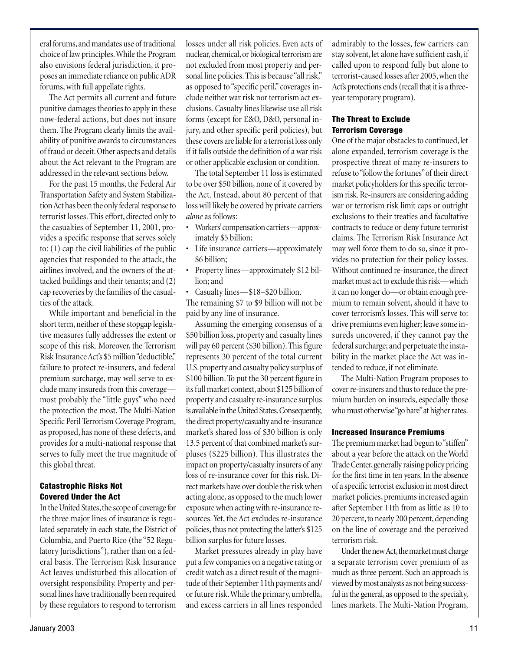eral forums, and mandates use of traditional choice of law principles. While the Program also envisions federal jurisdiction, it proposes an immediate reliance on public ADR forums, with full appellate rights.

The Act permits all current and future punitive damages theories to apply in these now-federal actions, but does not insure them. The Program clearly limits the availability of punitive awards to circumstances of fraud or deceit. Other aspects and details about the Act relevant to the Program are addressed in the relevant sections below.

For the past 15 months, the Federal Air Transportation Safety and System Stabilization Act has been the only federal response to terrorist losses. This effort, directed only to the casualties of September 11, 2001, provides a specific response that serves solely to: (1) cap the civil liabilities of the public agencies that responded to the attack, the airlines involved, and the owners of the attacked buildings and their tenants; and (2) cap recoveries by the families of the casualties of the attack.

While important and beneficial in the short term, neither of these stopgap legislative measures fully addresses the extent or scope of this risk. Moreover, the Terrorism Risk Insurance Act's \$5 million "deductible," failure to protect re-insurers, and federal premium surcharge, may well serve to exclude many insureds from this coverage most probably the "little guys" who need the protection the most. The Multi-Nation Specific Peril Terrorism Coverage Program, as proposed, has none of these defects, and provides for a multi-national response that serves to fully meet the true magnitude of this global threat.

#### **Catastrophic Risks Not Covered Under the Act**

In the United States, the scope of coverage for the three major lines of insurance is regulated separately in each state, the District of Columbia, and Puerto Rico (the "52 Regulatory Jurisdictions"), rather than on a federal basis. The Terrorism Risk Insurance Act leaves undisturbed this allocation of oversight responsibility. Property and personal lines have traditionally been required by these regulators to respond to terrorism

losses under all risk policies. Even acts of nuclear, chemical, or biological terrorism are not excluded from most property and personal line policies. This is because "all risk," as opposed to "specific peril," coverages include neither war risk nor terrorism act exclusions. Casualty lines likewise use all risk forms (except for E&O, D&O, personal injury, and other specific peril policies), but these covers are liable for a terrorist loss only if it falls outside the definition of a war risk or other applicable exclusion or condition.

The total September 11 loss is estimated to be over \$50 billion, none of it covered by the Act. Instead, about 80 percent of that loss will likely be covered by private carriers *alone* as follows:

- Workers' compensation carriers—approximately \$5 billion;
- Life insurance carriers—approximately \$6 billion;
- Property lines—approximately \$12 billion; and
- Casualty lines—\$18–\$20 billion.

The remaining \$7 to \$9 billion will not be paid by any line of insurance.

Assuming the emerging consensus of a \$50 billion loss, property and casualty lines will pay 60 percent (\$30 billion). This figure represents 30 percent of the total current U.S. property and casualty policy surplus of \$100 billion. To put the 30 percent figure in its full market context, about \$125 billion of property and casualty re-insurance surplus is available in the United States. Consequently, the direct property/casualty and re-insurance market's shared loss of \$30 billion is only 13.5 percent of that combined market's surpluses (\$225 billion). This illustrates the impact on property/casualty insurers of any loss of re-insurance cover for this risk. Direct markets have over double the risk when acting alone, as opposed to the much lower exposure when acting with re-insurance resources. Yet, the Act excludes re-insurance policies, thus not protecting the latter's \$125 billion surplus for future losses.

Market pressures already in play have put a few companies on a negative rating or credit watch as a direct result of the magnitude of their September 11th payments and/ or future risk. While the primary, umbrella, and excess carriers in all lines responded

admirably to the losses, few carriers can stay solvent, let alone have sufficient cash, if called upon to respond fully but alone to terrorist-caused losses after 2005, when the Act's protections ends (recall that it is a threeyear temporary program).

#### **The Threat to Exclude Terrorism Coverage**

One of the major obstacles to continued, let alone expanded, terrorism coverage is the prospective threat of many re-insurers to refuse to "follow the fortunes" of their direct market policyholders for this specific terrorism risk. Re-insurers are considering adding war or terrorism risk limit caps or outright exclusions to their treaties and facultative contracts to reduce or deny future terrorist claims. The Terrorism Risk Insurance Act may well force them to do so, since it provides no protection for their policy losses. Without continued re-insurance, the direct market must act to exclude this risk—which it can no longer do—or obtain enough premium to remain solvent, should it have to cover terrorism's losses. This will serve to: drive premiums even higher; leave some insureds uncovered, if they cannot pay the federal surcharge; and perpetuate the instability in the market place the Act was intended to reduce, if not eliminate.

The Multi-Nation Program proposes to cover re-insurers and thus to reduce the premium burden on insureds, especially those who must otherwise "go bare" at higher rates.

#### **Increased Insurance Premiums**

The premium market had begun to "stiffen" about a year before the attack on the World Trade Center, generally raising policy pricing for the first time in ten years. In the absence of a specific terrorist exclusion in most direct market policies, premiums increased again after September 11th from as little as 10 to 20 percent, to nearly 200 percent, depending on the line of coverage and the perceived terrorism risk.

Under the new Act, the market must charge a separate terrorism cover premium of as much as three percent. Such an approach is viewed by most analysts as not being successful in the general, as opposed to the specialty, lines markets. The Multi-Nation Program,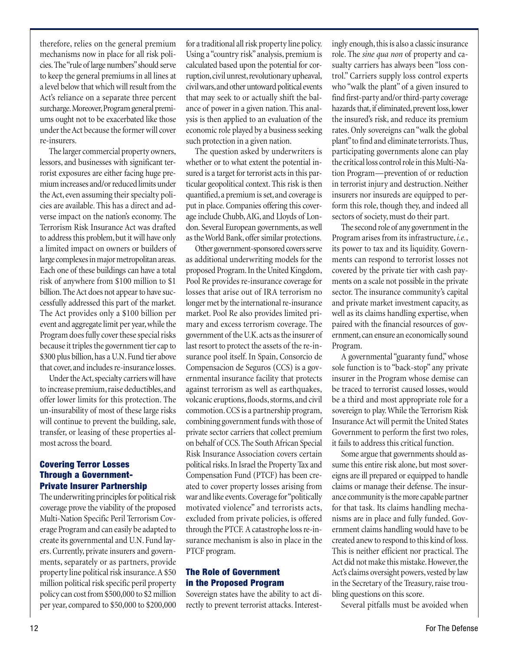therefore, relies on the general premium mechanisms now in place for all risk policies. The "rule of large numbers" should serve to keep the general premiums in all lines at a level below that which will result from the Act's reliance on a separate three percent surcharge. Moreover, Program general premiums ought not to be exacerbated like those under the Act because the former will cover re-insurers.

The larger commercial property owners, lessors, and businesses with significant terrorist exposures are either facing huge premium increases and/or reduced limits under the Act, even assuming their specialty policies are available. This has a direct and adverse impact on the nation's economy. The Terrorism Risk Insurance Act was drafted to address this problem, but it will have only a limited impact on owners or builders of large complexes in major metropolitan areas. Each one of these buildings can have a total risk of anywhere from \$100 million to \$1 billion. The Act does not appear to have successfully addressed this part of the market. The Act provides only a \$100 billion per event and aggregate limit per year, while the Program does fully cover these special risks because it triples the government tier cap to \$300 plus billion, has a U.N. Fund tier above that cover, and includes re-insurance losses.

Under the Act, specialty carriers will have to increase premium, raise deductibles, and offer lower limits for this protection. The un-insurability of most of these large risks will continue to prevent the building, sale, transfer, or leasing of these properties almost across the board.

#### **Covering Terror Losses Through a Government-Private Insurer Partnership**

The underwriting principles for political risk coverage prove the viability of the proposed Multi-Nation Specific Peril Terrorism Coverage Program and can easily be adapted to create its governmental and U.N. Fund layers. Currently, private insurers and governments, separately or as partners, provide property line political risk insurance. A \$50 million political risk specific peril property policy can cost from \$500,000 to \$2 million per year, compared to \$50,000 to \$200,000

for a traditional all risk property line policy. Using a "country risk" analysis, premium is calculated based upon the potential for corruption, civil unrest, revolutionary upheaval, civil wars, and other untoward political events that may seek to or actually shift the balance of power in a given nation. This analysis is then applied to an evaluation of the economic role played by a business seeking such protection in a given nation.

The question asked by underwriters is whether or to what extent the potential insured is a target for terrorist acts in this particular geopolitical context. This risk is then quantified, a premium is set, and coverage is put in place. Companies offering this coverage include Chubb, AIG, and Lloyds of London. Several European governments, as well as the World Bank, offer similar protections.

Other government-sponsored covers serve as additional underwriting models for the proposed Program. In the United Kingdom, Pool Re provides re-insurance coverage for losses that arise out of IRA terrorism no longer met by the international re-insurance market. Pool Re also provides limited primary and excess terrorism coverage. The government of the U.K. acts as the insurer of last resort to protect the assets of the re-insurance pool itself. In Spain, Consorcio de Compensacion de Seguros (CCS) is a governmental insurance facility that protects against terrorism as well as earthquakes, volcanic eruptions, floods, storms, and civil commotion. CCS is a partnership program, combining government funds with those of private sector carriers that collect premium on behalf of CCS. The South African Special Risk Insurance Association covers certain political risks. In Israel the Property Tax and Compensation Fund (PTCF) has been created to cover property losses arising from war and like events. Coverage for "politically motivated violence" and terrorists acts, excluded from private policies, is offered through the PTCF. A catastrophe loss re-insurance mechanism is also in place in the PTCF program.

#### **The Role of Government in the Proposed Program**

Sovereign states have the ability to act directly to prevent terrorist attacks. Interestingly enough, this is also a classic insurance role. The *sine qua non* of property and casualty carriers has always been "loss control." Carriers supply loss control experts who "walk the plant" of a given insured to find first-party and/or third-party coverage hazards that, if eliminated, prevent loss, lower the insured's risk, and reduce its premium rates. Only sovereigns can "walk the global plant" to find and eliminate terrorists. Thus, participating governments alone can play the critical loss control role in this Multi-Nation Program—prevention of or reduction in terrorist injury and destruction. Neither insurers nor insureds are equipped to perform this role, though they, and indeed all sectors of society, must do their part.

The second role of any government in the Program arises from its infrastructure, *i.e.*, its power to tax and its liquidity. Governments can respond to terrorist losses not covered by the private tier with cash payments on a scale not possible in the private sector. The insurance community's capital and private market investment capacity, as well as its claims handling expertise, when paired with the financial resources of government, can ensure an economically sound Program.

A governmental "guaranty fund," whose sole function is to "back-stop" any private insurer in the Program whose demise can be traced to terrorist caused losses, would be a third and most appropriate role for a sovereign to play. While the Terrorism Risk Insurance Act will permit the United States Government to perform the first two roles, it fails to address this critical function.

Some argue that governments should assume this entire risk alone, but most sovereigns are ill prepared or equipped to handle claims or manage their defense. The insurance community is the more capable partner for that task. Its claims handling mechanisms are in place and fully funded. Government claims handling would have to be created anew to respond to this kind of loss. This is neither efficient nor practical. The Act did not make this mistake. However, the Act's claims oversight powers, vested by law in the Secretary of the Treasury, raise troubling questions on this score.

Several pitfalls must be avoided when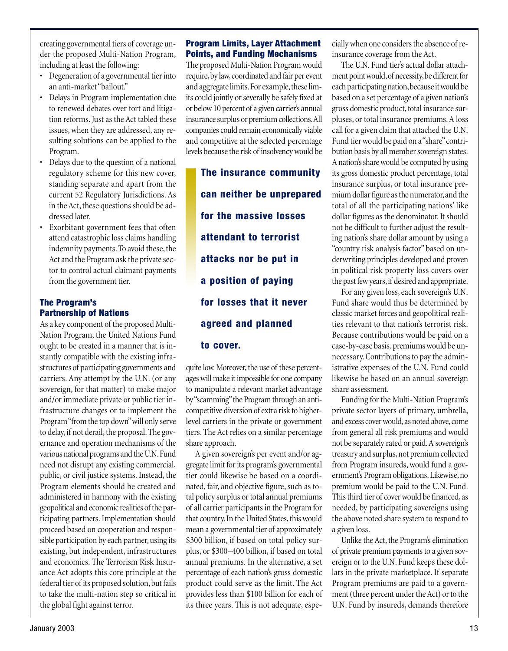creating governmental tiers of coverage under the proposed Multi-Nation Program, including at least the following:

- Degeneration of a governmental tier into an anti-market "bailout."
- Delays in Program implementation due to renewed debates over tort and litigation reforms. Just as the Act tabled these issues, when they are addressed, any resulting solutions can be applied to the Program.
- Delays due to the question of a national regulatory scheme for this new cover, standing separate and apart from the current 52 Regulatory Jurisdictions. As in the Act, these questions should be addressed later.
- Exorbitant government fees that often attend catastrophic loss claims handling indemnity payments. To avoid these, the Act and the Program ask the private sector to control actual claimant payments from the government tier.

# **The Program's Partnership of Nations**

As a key component of the proposed Multi-Nation Program, the United Nations Fund ought to be created in a manner that is instantly compatible with the existing infrastructures of participating governments and carriers. Any attempt by the U.N. (or any sovereign, for that matter) to make major and/or immediate private or public tier infrastructure changes or to implement the Program "from the top down" will only serve to delay, if not derail, the proposal. The governance and operation mechanisms of the various national programs and the U.N. Fund need not disrupt any existing commercial, public, or civil justice systems. Instead, the Program elements should be created and administered in harmony with the existing geopolitical and economic realities of the participating partners. Implementation should proceed based on cooperation and responsible participation by each partner, using its existing, but independent, infrastructures and economics. The Terrorism Risk Insurance Act adopts this core principle at the federal tier of its proposed solution, but fails to take the multi-nation step so critical in the global fight against terror.

#### **Program Limits, Layer Attachment Points, and Funding Mechanisms**

The proposed Multi-Nation Program would require, by law, coordinated and fair per event and aggregate limits. For example, these limits could jointly or severally be safely fixed at or below 10 percent of a given carrier's annual insurance surplus or premium collections. All companies could remain economically viable and competitive at the selected percentage levels because the risk of insolvency would be

**The insurance community can neither be unprepared for the massive losses attendant to terrorist attacks nor be put in a position of paying for losses that it never agreed and planned to cover.**

quite low. Moreover, the use of these percentages will make it impossible for one company to manipulate a relevant market advantage by "scamming" the Program through an anticompetitive diversion of extra risk to higherlevel carriers in the private or government tiers. The Act relies on a similar percentage share approach.

A given sovereign's per event and/or aggregate limit for its program's governmental tier could likewise be based on a coordinated, fair, and objective figure, such as total policy surplus or total annual premiums of all carrier participants in the Program for that country. In the United States, this would mean a governmental tier of approximately \$300 billion, if based on total policy surplus, or \$300–400 billion, if based on total annual premiums. In the alternative, a set percentage of each nation's gross domestic product could serve as the limit. The Act provides less than \$100 billion for each of its three years. This is not adequate, especially when one considers the absence of reinsurance coverage from the Act.

The U.N. Fund tier's actual dollar attachment point would, of necessity, be different for each participating nation, because it would be based on a set percentage of a given nation's gross domestic product, total insurance surpluses, or total insurance premiums. A loss call for a given claim that attached the U.N. Fund tier would be paid on a "share" contribution basis by all member sovereign states. A nation's share would be computed by using its gross domestic product percentage, total insurance surplus, or total insurance premium dollar figure as the numerator, and the total of all the participating nations' like dollar figures as the denominator. It should not be difficult to further adjust the resulting nation's share dollar amount by using a "country risk analysis factor" based on underwriting principles developed and proven in political risk property loss covers over the past few years, if desired and appropriate.

For any given loss, each sovereign's U.N. Fund share would thus be determined by classic market forces and geopolitical realities relevant to that nation's terrorist risk. Because contributions would be paid on a case-by-case basis*,* premiums would be unnecessary. Contributions to pay the administrative expenses of the U.N. Fund could likewise be based on an annual sovereign share assessment.

Funding for the Multi-Nation Program's private sector layers of primary, umbrella, and excess cover would, as noted above, come from general all risk premiums and would not be separately rated or paid. A sovereign's treasury and surplus, not premium collected from Program insureds, would fund a government's Program obligations. Likewise, no premium would be paid to the U.N. Fund. This third tier of cover would be financed, as needed, by participating sovereigns using the above noted share system to respond to a given loss.

Unlike the Act, the Program's elimination of private premium payments to a given sovereign or to the U.N. Fund keeps these dollars in the private marketplace. If separate Program premiums are paid to a government (three percent under the Act) or to the U.N. Fund by insureds, demands therefore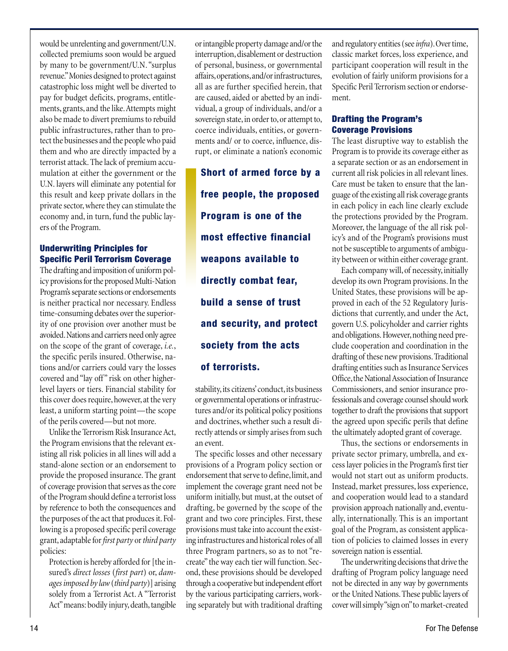would be unrelenting and government/U.N. collected premiums soon would be argued by many to be government/U.N. "surplus revenue." Monies designed to protect against catastrophic loss might well be diverted to pay for budget deficits, programs, entitlements, grants, and the like. Attempts might also be made to divert premiums to rebuild public infrastructures, rather than to protect the businesses and the people who paid them and who are directly impacted by a terrorist attack. The lack of premium accumulation at either the government or the U.N. layers will eliminate any potential for this result and keep private dollars in the private sector, where they can stimulate the economy and, in turn, fund the public layers of the Program.

# **Underwriting Principles for Specific Peril Terrorism Coverage**

The drafting and imposition of uniform policy provisions for the proposed Multi-Nation Program's separate sections or endorsements is neither practical nor necessary. Endless time-consuming debates over the superiority of one provision over another must be avoided. Nations and carriers need only agree on the scope of the grant of coverage, *i.e.*, the specific perils insured. Otherwise, nations and/or carriers could vary the losses covered and "lay off" risk on other higherlevel layers or tiers. Financial stability for this cover does require, however, at the very least, a uniform starting point—the scope of the perils covered—but not more.

Unlike the Terrorism Risk Insurance Act, the Program envisions that the relevant existing all risk policies in all lines will add a stand-alone section or an endorsement to provide the proposed insurance. The grant of coverage provision that serves as the core of the Program should define a terrorist loss by reference to both the consequences and the purposes of the act that produces it. Following is a proposed specific peril coverage grant, adaptable for *first party* or *third party* policies:

Protection is hereby afforded for [the insured's *direct losses* (*first part*) or, *damages imposed by law* (*third party*)] arising solely from a Terrorist Act. A "Terrorist Act" means: bodily injury, death, tangible

or intangible property damage and/or the interruption, disablement or destruction of personal, business, or governmental affairs, operations, and/or infrastructures, all as are further specified herein, that are caused, aided or abetted by an individual, a group of individuals, and/or a sovereign state, in order to, or attempt to, coerce individuals, entities, or governments and/ or to coerce, influence, disrupt, or eliminate a nation's economic

**Short of armed force by a free people, the proposed Program is one of the most effective financial weapons available to directly combat fear, build a sense of trust and security, and protect society from the acts of terrorists.**

stability, its citizens' conduct, its business or governmental operations or infrastructures and/or its political policy positions and doctrines, whether such a result directly attends or simply arises from such an event.

The specific losses and other necessary provisions of a Program policy section or endorsement that serve to define, limit, and implement the coverage grant need not be uniform initially, but must, at the outset of drafting, be governed by the scope of the grant and two core principles. First, these provisions must take into account the existing infrastructures and historical roles of all three Program partners, so as to not "recreate" the way each tier will function. Second, these provisions should be developed through a cooperative but independent effort by the various participating carriers, working separately but with traditional drafting

and regulatory entities (see *infra*). Over time, classic market forces, loss experience, and participant cooperation will result in the evolution of fairly uniform provisions for a Specific Peril Terrorism section or endorsement.

# **Drafting the Program's Coverage Provisions**

The least disruptive way to establish the Program is to provide its coverage either as a separate section or as an endorsement in current all risk policies in all relevant lines. Care must be taken to ensure that the language of the existing all risk coverage grants in each policy in each line clearly exclude the protections provided by the Program. Moreover, the language of the all risk policy's and of the Program's provisions must not be susceptible to arguments of ambiguity between or within either coverage grant.

Each company will, of necessity, initially develop its own Program provisions. In the United States, these provisions will be approved in each of the 52 Regulatory Jurisdictions that currently, and under the Act, govern U.S. policyholder and carrier rights and obligations. However, nothing need preclude cooperation and coordination in the drafting of these new provisions. Traditional drafting entities such as Insurance Services Office, the National Association of Insurance Commissioners, and senior insurance professionals and coverage counsel should work together to draft the provisions that support the agreed upon specific perils that define the ultimately adopted grant of coverage.

Thus, the sections or endorsements in private sector primary, umbrella, and excess layer policies in the Program's first tier would not start out as uniform products. Instead, market pressures, loss experience, and cooperation would lead to a standard provision approach nationally and, eventually, internationally. This is an important goal of the Program, as consistent application of policies to claimed losses in every sovereign nation is essential.

The underwriting decisions that drive the drafting of Program policy language need not be directed in any way by governments or the United Nations. These public layers of cover will simply "sign on" to market-created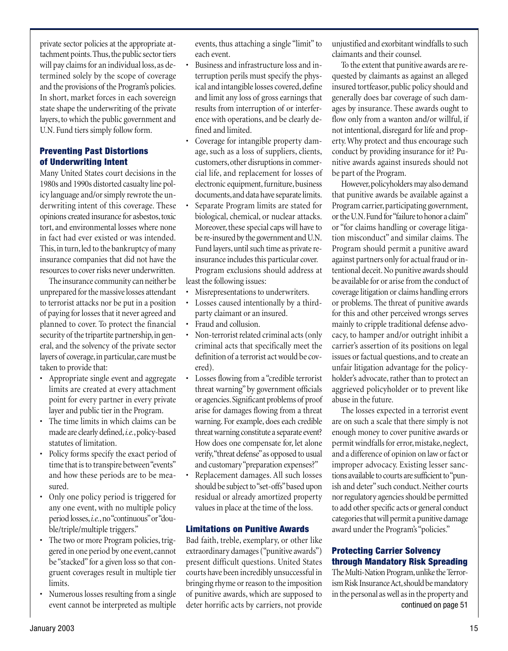private sector policies at the appropriate attachment points. Thus, the public sector tiers will pay claims for an individual loss, as determined solely by the scope of coverage and the provisions of the Program's policies. In short, market forces in each sovereign state shape the underwriting of the private layers, to which the public government and U.N. Fund tiers simply follow form.

# **Preventing Past Distortions of Underwriting Intent**

Many United States court decisions in the 1980s and 1990s distorted casualty line policy language and/or simply rewrote the underwriting intent of this coverage. These opinions created insurance for asbestos, toxic tort, and environmental losses where none in fact had ever existed or was intended. This, in turn, led to the bankruptcy of many insurance companies that did not have the resources to cover risks never underwritten.

The insurance community can neither be unprepared for the massive losses attendant to terrorist attacks nor be put in a position of paying for losses that it never agreed and planned to cover. To protect the financial security of the tripartite partnership, in general, and the solvency of the private sector layers of coverage, in particular, care must be taken to provide that:

- Appropriate single event and aggregate limits are created at every attachment point for every partner in every private layer and public tier in the Program.
- The time limits in which claims can be made are clearly defined, *i.e.*, policy-based statutes of limitation.
- Policy forms specify the exact period of time that is to transpire between "events" and how these periods are to be measured.
- Only one policy period is triggered for any one event, with no multiple policy period losses, *i.e.*, no "continuous" or "double/triple/multiple triggers."
- The two or more Program policies, triggered in one period by one event, cannot be "stacked" for a given loss so that congruent coverages result in multiple tier limits.
- Numerous losses resulting from a single event cannot be interpreted as multiple

events, thus attaching a single "limit" to each event.

- Business and infrastructure loss and interruption perils must specify the physical and intangible losses covered, define and limit any loss of gross earnings that results from interruption of or interference with operations, and be clearly defined and limited.
- Coverage for intangible property damage, such as a loss of suppliers, clients, customers, other disruptions in commercial life, and replacement for losses of electronic equipment, furniture, business documents, and data have separate limits.
- Separate Program limits are stated for biological, chemical, or nuclear attacks. Moreover, these special caps will have to be re-insured by the government and U.N. Fund layers, until such time as private reinsurance includes this particular cover. Program exclusions should address at

least the following issues:

- Misrepresentations to underwriters.
- Losses caused intentionally by a thirdparty claimant or an insured.
- Fraud and collusion.
- Non-terrorist related criminal acts (only criminal acts that specifically meet the definition of a terrorist act would be covered).
- Losses flowing from a "credible terrorist threat warning" by government officials or agencies. Significant problems of proof arise for damages flowing from a threat warning. For example, does each credible threat warning constitute a separate event? How does one compensate for, let alone verify, "threat defense" as opposed to usual and customary "preparation expenses?"
- Replacement damages. All such losses should be subject to "set-offs" based upon residual or already amortized property values in place at the time of the loss.

# **Limitations on Punitive Awards**

Bad faith, treble, exemplary, or other like extraordinary damages ("punitive awards") present difficult questions. United States courts have been incredibly unsuccessful in bringing rhyme or reason to the imposition of punitive awards, which are supposed to deter horrific acts by carriers, not provide

unjustified and exorbitant windfalls to such claimants and their counsel.

To the extent that punitive awards are requested by claimants as against an alleged insured tortfeasor, public policy should and generally does bar coverage of such damages by insurance. These awards ought to flow only from a wanton and/or willful, if not intentional, disregard for life and property. Why protect and thus encourage such conduct by providing insurance for it? Punitive awards against insureds should not be part of the Program.

However, policyholders may also demand that punitive awards be available against a Program carrier, participating government, or the U.N. Fund for "failure to honor a claim" or "for claims handling or coverage litigation misconduct" and similar claims. The Program should permit a punitive award against partners only for actual fraud or intentional deceit. No punitive awards should be available for or arise from the conduct of coverage litigation or claims handling errors or problems. The threat of punitive awards for this and other perceived wrongs serves mainly to cripple traditional defense advocacy, to hamper and/or outright inhibit a carrier's assertion of its positions on legal issues or factual questions, and to create an unfair litigation advantage for the policyholder's advocate, rather than to protect an aggrieved policyholder or to prevent like abuse in the future.

The losses expected in a terrorist event are on such a scale that there simply is not enough money to cover punitive awards or permit windfalls for error, mistake, neglect, and a difference of opinion on law or fact or improper advocacy. Existing lesser sanctions available to courts are sufficient to "punish and deter" such conduct. Neither courts nor regulatory agencies should be permitted to add other specific acts or general conduct categories that will permit a punitive damage award under the Program's "policies."

# **Protecting Carrier Solvency through Mandatory Risk Spreading**

The Multi-Nation Program, unlike the Terrorism Risk Insurance Act, should be mandatory in the personal as well as in the property and continued on page 51